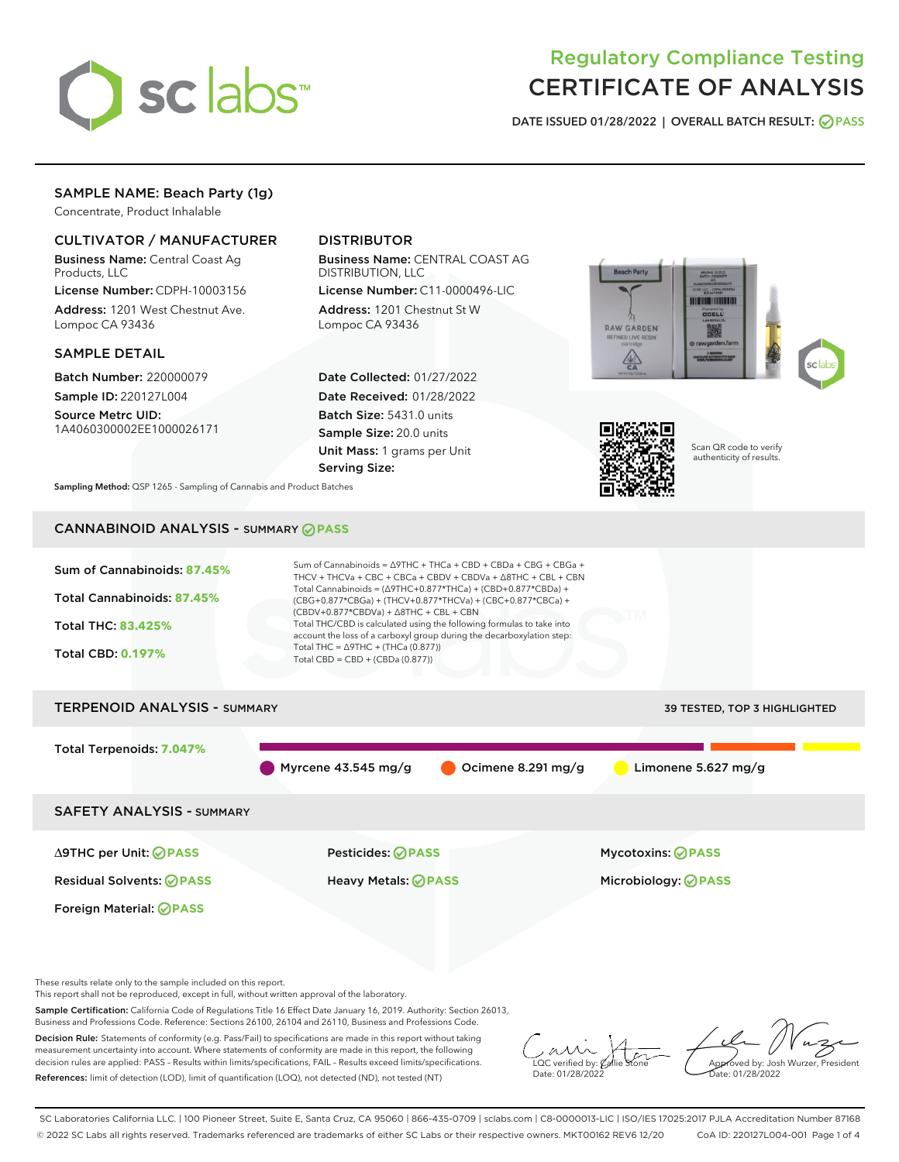

# Regulatory Compliance Testing CERTIFICATE OF ANALYSIS

DATE ISSUED 01/28/2022 | OVERALL BATCH RESULT: @ PASS

## SAMPLE NAME: Beach Party (1g)

Concentrate, Product Inhalable

## CULTIVATOR / MANUFACTURER

Business Name: Central Coast Ag Products, LLC

License Number: CDPH-10003156 Address: 1201 West Chestnut Ave. Lompoc CA 93436

#### SAMPLE DETAIL

Batch Number: 220000079 Sample ID: 220127L004

Source Metrc UID: 1A4060300002EE1000026171

## DISTRIBUTOR

Business Name: CENTRAL COAST AG DISTRIBUTION, LLC

License Number: C11-0000496-LIC Address: 1201 Chestnut St W Lompoc CA 93436

Date Collected: 01/27/2022 Date Received: 01/28/2022 Batch Size: 5431.0 units Sample Size: 20.0 units Unit Mass: 1 grams per Unit Serving Size:





Scan QR code to verify authenticity of results.

Sampling Method: QSP 1265 - Sampling of Cannabis and Product Batches

## CANNABINOID ANALYSIS - SUMMARY **PASS**



This report shall not be reproduced, except in full, without written approval of the laboratory.

Sample Certification: California Code of Regulations Title 16 Effect Date January 16, 2019. Authority: Section 26013, Business and Professions Code. Reference: Sections 26100, 26104 and 26110, Business and Professions Code.

Decision Rule: Statements of conformity (e.g. Pass/Fail) to specifications are made in this report without taking measurement uncertainty into account. Where statements of conformity are made in this report, the following decision rules are applied: PASS – Results within limits/specifications, FAIL – Results exceed limits/specifications. References: limit of detection (LOD), limit of quantification (LOQ), not detected (ND), not tested (NT)

 $\overline{\text{LOC}}$  verified by:  $\mathcal C$ Date: 01/28/2022

Approved by: Josh Wurzer, President ate: 01/28/2022

SC Laboratories California LLC. | 100 Pioneer Street, Suite E, Santa Cruz, CA 95060 | 866-435-0709 | sclabs.com | C8-0000013-LIC | ISO/IES 17025:2017 PJLA Accreditation Number 87168 © 2022 SC Labs all rights reserved. Trademarks referenced are trademarks of either SC Labs or their respective owners. MKT00162 REV6 12/20 CoA ID: 220127L004-001 Page 1 of 4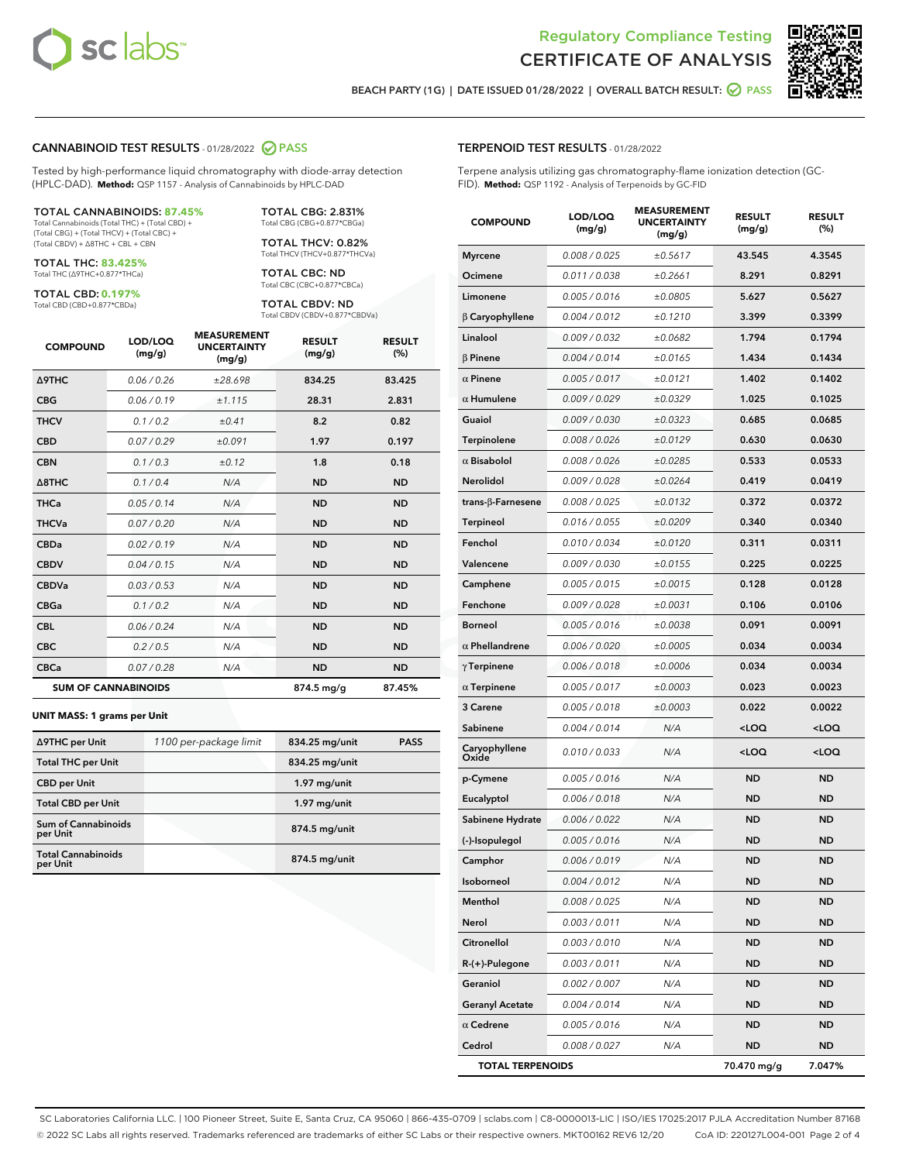



BEACH PARTY (1G) | DATE ISSUED 01/28/2022 | OVERALL BATCH RESULT:  $\bigcirc$  PASS

#### CANNABINOID TEST RESULTS - 01/28/2022 2 PASS

Tested by high-performance liquid chromatography with diode-array detection (HPLC-DAD). **Method:** QSP 1157 - Analysis of Cannabinoids by HPLC-DAD

#### TOTAL CANNABINOIDS: **87.45%**

Total Cannabinoids (Total THC) + (Total CBD) + (Total CBG) + (Total THCV) + (Total CBC) + (Total CBDV) + ∆8THC + CBL + CBN

TOTAL THC: **83.425%** Total THC (∆9THC+0.877\*THCa)

TOTAL CBD: **0.197%**

Total CBD (CBD+0.877\*CBDa)

TOTAL CBG: 2.831% Total CBG (CBG+0.877\*CBGa)

TOTAL THCV: 0.82% Total THCV (THCV+0.877\*THCVa)

TOTAL CBC: ND Total CBC (CBC+0.877\*CBCa)

TOTAL CBDV: ND Total CBDV (CBDV+0.877\*CBDVa)

| <b>COMPOUND</b>            | LOD/LOQ<br>(mg/g) | <b>MEASUREMENT</b><br><b>UNCERTAINTY</b><br>(mg/g) | <b>RESULT</b><br>(mg/g) | <b>RESULT</b><br>(%) |
|----------------------------|-------------------|----------------------------------------------------|-------------------------|----------------------|
| Δ9THC                      | 0.06 / 0.26       | ±28.698                                            | 834.25                  | 83.425               |
| <b>CBG</b>                 | 0.06 / 0.19       | ±1.115                                             | 28.31                   | 2.831                |
| <b>THCV</b>                | 0.1 / 0.2         | ±0.41                                              | 8.2                     | 0.82                 |
| <b>CBD</b>                 | 0.07/0.29         | ±0.091                                             | 1.97                    | 0.197                |
| <b>CBN</b>                 | 0.1/0.3           | ±0.12                                              | 1.8                     | 0.18                 |
| $\triangle$ 8THC           | 0.1 / 0.4         | N/A                                                | <b>ND</b>               | <b>ND</b>            |
| <b>THCa</b>                | 0.05/0.14         | N/A                                                | <b>ND</b>               | <b>ND</b>            |
| <b>THCVa</b>               | 0.07/0.20         | N/A                                                | <b>ND</b>               | <b>ND</b>            |
| <b>CBDa</b>                | 0.02/0.19         | N/A                                                | <b>ND</b>               | <b>ND</b>            |
| <b>CBDV</b>                | 0.04 / 0.15       | N/A                                                | <b>ND</b>               | <b>ND</b>            |
| <b>CBDVa</b>               | 0.03/0.53         | N/A                                                | <b>ND</b>               | <b>ND</b>            |
| <b>CBGa</b>                | 0.1 / 0.2         | N/A                                                | <b>ND</b>               | <b>ND</b>            |
| <b>CBL</b>                 | 0.06 / 0.24       | N/A                                                | <b>ND</b>               | <b>ND</b>            |
| <b>CBC</b>                 | 0.2 / 0.5         | N/A                                                | <b>ND</b>               | <b>ND</b>            |
| <b>CBCa</b>                | 0.07 / 0.28       | N/A                                                | <b>ND</b>               | <b>ND</b>            |
| <b>SUM OF CANNABINOIDS</b> |                   |                                                    | 874.5 mg/g              | 87.45%               |

#### **UNIT MASS: 1 grams per Unit**

| ∆9THC per Unit                         | 1100 per-package limit | 834.25 mg/unit  | <b>PASS</b> |
|----------------------------------------|------------------------|-----------------|-------------|
| <b>Total THC per Unit</b>              |                        | 834.25 mg/unit  |             |
| <b>CBD per Unit</b>                    |                        | $1.97$ mg/unit  |             |
| <b>Total CBD per Unit</b>              |                        | $1.97$ mg/unit  |             |
| <b>Sum of Cannabinoids</b><br>per Unit |                        | 874.5 mg/unit   |             |
| <b>Total Cannabinoids</b><br>per Unit  |                        | $874.5$ mg/unit |             |

| <b>COMPOUND</b>         | LOD/LOQ<br>(mg/g) | <b>MEASUREMENT</b><br><b>UNCERTAINTY</b><br>(mg/g) | <b>RESULT</b><br>(mg/g)                         | <b>RESULT</b><br>$(\%)$ |
|-------------------------|-------------------|----------------------------------------------------|-------------------------------------------------|-------------------------|
| <b>Myrcene</b>          | 0.008 / 0.025     | ±0.5617                                            | 43.545                                          | 4.3545                  |
| Ocimene                 | 0.011 / 0.038     | ±0.2661                                            | 8.291                                           | 0.8291                  |
| Limonene                | 0.005 / 0.016     | ±0.0805                                            | 5.627                                           | 0.5627                  |
| $\beta$ Caryophyllene   | 0.004 / 0.012     | ±0.1210                                            | 3.399                                           | 0.3399                  |
| Linalool                | 0.009 / 0.032     | ±0.0682                                            | 1.794                                           | 0.1794                  |
| <b>B</b> Pinene         | 0.004 / 0.014     | ±0.0165                                            | 1.434                                           | 0.1434                  |
| $\alpha$ Pinene         | 0.005 / 0.017     | ±0.0121                                            | 1.402                                           | 0.1402                  |
| $\alpha$ Humulene       | 0.009 / 0.029     | ±0.0329                                            | 1.025                                           | 0.1025                  |
| Guaiol                  | 0.009 / 0.030     | ±0.0323                                            | 0.685                                           | 0.0685                  |
| Terpinolene             | 0.008 / 0.026     | ±0.0129                                            | 0.630                                           | 0.0630                  |
| $\alpha$ Bisabolol      | 0.008 / 0.026     | ±0.0285                                            | 0.533                                           | 0.0533                  |
| Nerolidol               | 0.009 / 0.028     | ±0.0264                                            | 0.419                                           | 0.0419                  |
| trans-β-Farnesene       | 0.008 / 0.025     | ±0.0132                                            | 0.372                                           | 0.0372                  |
| Terpineol               | 0.016 / 0.055     | ±0.0209                                            | 0.340                                           | 0.0340                  |
| Fenchol                 | 0.010 / 0.034     | ±0.0120                                            | 0.311                                           | 0.0311                  |
| Valencene               | 0.009 / 0.030     | ±0.0155                                            | 0.225                                           | 0.0225                  |
| Camphene                | 0.005 / 0.015     | ±0.0015                                            | 0.128                                           | 0.0128                  |
| Fenchone                | 0.009 / 0.028     | ±0.0031                                            | 0.106                                           | 0.0106                  |
| <b>Borneol</b>          | 0.005 / 0.016     | ±0.0038                                            | 0.091                                           | 0.0091                  |
| $\alpha$ Phellandrene   | 0.006 / 0.020     | ±0.0005                                            | 0.034                                           | 0.0034                  |
| $\gamma$ Terpinene      | 0.006 / 0.018     | ±0.0006                                            | 0.034                                           | 0.0034                  |
| $\alpha$ Terpinene      | 0.005 / 0.017     | ±0.0003                                            | 0.023                                           | 0.0023                  |
| 3 Carene                | 0.005 / 0.018     | ±0.0003                                            | 0.022                                           | 0.0022                  |
| Sabinene                | 0.004 / 0.014     | N/A                                                | <loq< th=""><th><loq< th=""></loq<></th></loq<> | <loq< th=""></loq<>     |
| Caryophyllene<br>Oxide  | 0.010 / 0.033     | N/A                                                | <loq< th=""><th><loq< th=""></loq<></th></loq<> | <loq< th=""></loq<>     |
| p-Cymene                | 0.005 / 0.016     | N/A                                                | <b>ND</b>                                       | ND                      |
| Eucalyptol              | 0.006 / 0.018     | N/A                                                | <b>ND</b>                                       | ND                      |
| Sabinene Hydrate        | 0.006 / 0.022     | N/A                                                | <b>ND</b>                                       | <b>ND</b>               |
| (-)-Isopulegol          | 0.005 / 0.016     | N/A                                                | ND                                              | ND                      |
| Camphor                 | 0.006 / 0.019     | N/A                                                | ND                                              | ND                      |
| Isoborneol              | 0.004 / 0.012     | N/A                                                | ND                                              | ND                      |
| Menthol                 | 0.008 / 0.025     | N/A                                                | ND                                              | ND                      |
| Nerol                   | 0.003 / 0.011     | N/A                                                | ND                                              | ND                      |
| Citronellol             | 0.003 / 0.010     | N/A                                                | <b>ND</b>                                       | ND                      |
| R-(+)-Pulegone          | 0.003 / 0.011     | N/A                                                | ND                                              | ND                      |
| Geraniol                | 0.002 / 0.007     | N/A                                                | ND                                              | ND                      |
| <b>Geranyl Acetate</b>  | 0.004 / 0.014     | N/A                                                | <b>ND</b>                                       | ND                      |
| $\alpha$ Cedrene        | 0.005 / 0.016     | N/A                                                | ND                                              | ND                      |
| Cedrol                  | 0.008 / 0.027     | N/A                                                | ND                                              | ND                      |
| <b>TOTAL TERPENOIDS</b> |                   |                                                    | 70.470 mg/g                                     | 7.047%                  |

SC Laboratories California LLC. | 100 Pioneer Street, Suite E, Santa Cruz, CA 95060 | 866-435-0709 | sclabs.com | C8-0000013-LIC | ISO/IES 17025:2017 PJLA Accreditation Number 87168 © 2022 SC Labs all rights reserved. Trademarks referenced are trademarks of either SC Labs or their respective owners. MKT00162 REV6 12/20 CoA ID: 220127L004-001 Page 2 of 4

## TERPENOID TEST RESULTS - 01/28/2022

Terpene analysis utilizing gas chromatography-flame ionization detection (GC-FID). **Method:** QSP 1192 - Analysis of Terpenoids by GC-FID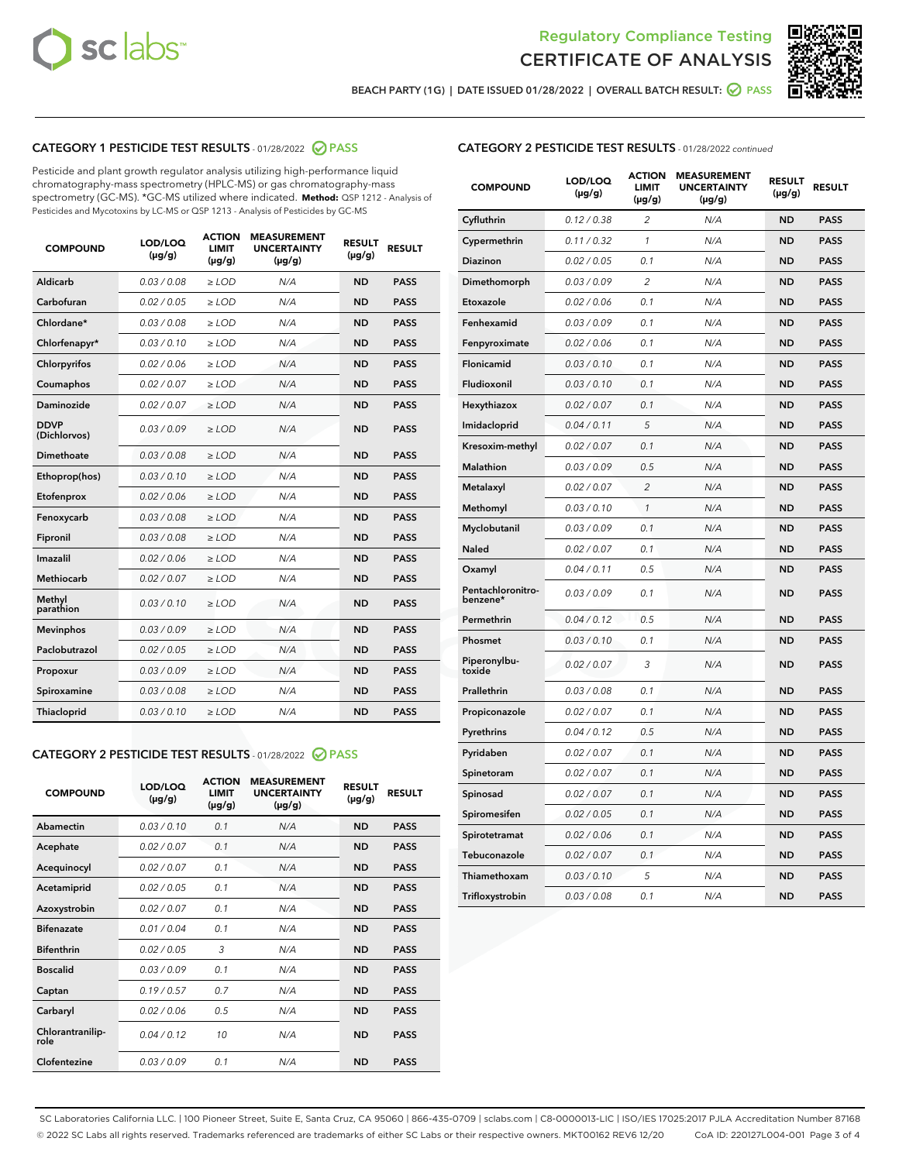



BEACH PARTY (1G) | DATE ISSUED 01/28/2022 | OVERALL BATCH RESULT: ● PASS

## CATEGORY 1 PESTICIDE TEST RESULTS - 01/28/2022 2 PASS

Pesticide and plant growth regulator analysis utilizing high-performance liquid chromatography-mass spectrometry (HPLC-MS) or gas chromatography-mass spectrometry (GC-MS). \*GC-MS utilized where indicated. **Method:** QSP 1212 - Analysis of Pesticides and Mycotoxins by LC-MS or QSP 1213 - Analysis of Pesticides by GC-MS

| <b>COMPOUND</b>             | LOD/LOQ<br>$(\mu g/g)$ | <b>ACTION</b><br><b>LIMIT</b><br>$(\mu g/g)$ | <b>MEASUREMENT</b><br><b>UNCERTAINTY</b><br>$(\mu g/g)$ | <b>RESULT</b><br>$(\mu g/g)$ | <b>RESULT</b> |
|-----------------------------|------------------------|----------------------------------------------|---------------------------------------------------------|------------------------------|---------------|
| Aldicarb                    | 0.03 / 0.08            | $\geq$ LOD                                   | N/A                                                     | <b>ND</b>                    | <b>PASS</b>   |
| Carbofuran                  | 0.02/0.05              | $>$ LOD                                      | N/A                                                     | <b>ND</b>                    | <b>PASS</b>   |
| Chlordane*                  | 0.03 / 0.08            | $\ge$ LOD                                    | N/A                                                     | <b>ND</b>                    | <b>PASS</b>   |
| Chlorfenapyr*               | 0.03/0.10              | $>$ LOD                                      | N/A                                                     | <b>ND</b>                    | <b>PASS</b>   |
| Chlorpyrifos                | 0.02 / 0.06            | $\ge$ LOD                                    | N/A                                                     | <b>ND</b>                    | <b>PASS</b>   |
| Coumaphos                   | 0.02 / 0.07            | $\ge$ LOD                                    | N/A                                                     | <b>ND</b>                    | <b>PASS</b>   |
| Daminozide                  | 0.02 / 0.07            | $\ge$ LOD                                    | N/A                                                     | <b>ND</b>                    | <b>PASS</b>   |
| <b>DDVP</b><br>(Dichlorvos) | 0.03/0.09              | $\ge$ LOD                                    | N/A                                                     | <b>ND</b>                    | <b>PASS</b>   |
| Dimethoate                  | 0.03/0.08              | $>$ LOD                                      | N/A                                                     | <b>ND</b>                    | <b>PASS</b>   |
| Ethoprop(hos)               | 0.03/0.10              | $\ge$ LOD                                    | N/A                                                     | <b>ND</b>                    | <b>PASS</b>   |
| Etofenprox                  | 0.02 / 0.06            | $\ge$ LOD                                    | N/A                                                     | <b>ND</b>                    | <b>PASS</b>   |
| Fenoxycarb                  | 0.03 / 0.08            | $\ge$ LOD                                    | N/A                                                     | <b>ND</b>                    | <b>PASS</b>   |
| Fipronil                    | 0.03/0.08              | $>$ LOD                                      | N/A                                                     | <b>ND</b>                    | <b>PASS</b>   |
| Imazalil                    | 0.02 / 0.06            | $\ge$ LOD                                    | N/A                                                     | <b>ND</b>                    | <b>PASS</b>   |
| <b>Methiocarb</b>           | 0.02 / 0.07            | $\ge$ LOD                                    | N/A                                                     | <b>ND</b>                    | <b>PASS</b>   |
| Methyl<br>parathion         | 0.03/0.10              | $\ge$ LOD                                    | N/A                                                     | <b>ND</b>                    | <b>PASS</b>   |
| <b>Mevinphos</b>            | 0.03/0.09              | $>$ LOD                                      | N/A                                                     | <b>ND</b>                    | <b>PASS</b>   |
| Paclobutrazol               | 0.02 / 0.05            | $\ge$ LOD                                    | N/A                                                     | <b>ND</b>                    | <b>PASS</b>   |
| Propoxur                    | 0.03/0.09              | $\ge$ LOD                                    | N/A                                                     | <b>ND</b>                    | <b>PASS</b>   |
| Spiroxamine                 | 0.03 / 0.08            | $\ge$ LOD                                    | N/A                                                     | <b>ND</b>                    | <b>PASS</b>   |
| Thiacloprid                 | 0.03/0.10              | $\ge$ LOD                                    | N/A                                                     | <b>ND</b>                    | <b>PASS</b>   |

#### CATEGORY 2 PESTICIDE TEST RESULTS - 01/28/2022 PASS

| <b>COMPOUND</b>          | LOD/LOQ<br>$(\mu g/g)$ | <b>ACTION</b><br><b>LIMIT</b><br>$(\mu g/g)$ | <b>MEASUREMENT</b><br><b>UNCERTAINTY</b><br>$(\mu g/g)$ | <b>RESULT</b><br>$(\mu g/g)$ | <b>RESULT</b> |
|--------------------------|------------------------|----------------------------------------------|---------------------------------------------------------|------------------------------|---------------|
| Abamectin                | 0.03/0.10              | 0.1                                          | N/A                                                     | <b>ND</b>                    | <b>PASS</b>   |
| Acephate                 | 0.02/0.07              | 0.1                                          | N/A                                                     | <b>ND</b>                    | <b>PASS</b>   |
| Acequinocyl              | 0.02/0.07              | 0.1                                          | N/A                                                     | <b>ND</b>                    | <b>PASS</b>   |
| Acetamiprid              | 0.02/0.05              | 0.1                                          | N/A                                                     | <b>ND</b>                    | <b>PASS</b>   |
| Azoxystrobin             | 0.02/0.07              | 0.1                                          | N/A                                                     | <b>ND</b>                    | <b>PASS</b>   |
| <b>Bifenazate</b>        | 0.01/0.04              | 0.1                                          | N/A                                                     | <b>ND</b>                    | <b>PASS</b>   |
| <b>Bifenthrin</b>        | 0.02 / 0.05            | 3                                            | N/A                                                     | <b>ND</b>                    | <b>PASS</b>   |
| <b>Boscalid</b>          | 0.03/0.09              | 0.1                                          | N/A                                                     | <b>ND</b>                    | <b>PASS</b>   |
| Captan                   | 0.19/0.57              | 0.7                                          | N/A                                                     | <b>ND</b>                    | <b>PASS</b>   |
| Carbaryl                 | 0.02/0.06              | 0.5                                          | N/A                                                     | <b>ND</b>                    | <b>PASS</b>   |
| Chlorantranilip-<br>role | 0.04/0.12              | 10                                           | N/A                                                     | <b>ND</b>                    | <b>PASS</b>   |
| Clofentezine             | 0.03/0.09              | 0.1                                          | N/A                                                     | <b>ND</b>                    | <b>PASS</b>   |

| <b>CATEGORY 2 PESTICIDE TEST RESULTS</b> - 01/28/2022 continued |  |
|-----------------------------------------------------------------|--|
|-----------------------------------------------------------------|--|

| <b>COMPOUND</b>               | LOD/LOQ<br>(µg/g) | <b>ACTION</b><br>LIMIT<br>$(\mu g/g)$ | <b>MEASUREMENT</b><br><b>UNCERTAINTY</b><br>$(\mu g/g)$ | <b>RESULT</b><br>(µg/g) | <b>RESULT</b> |
|-------------------------------|-------------------|---------------------------------------|---------------------------------------------------------|-------------------------|---------------|
| Cyfluthrin                    | 0.12 / 0.38       | 2                                     | N/A                                                     | <b>ND</b>               | <b>PASS</b>   |
| Cypermethrin                  | 0.11 / 0.32       | 1                                     | N/A                                                     | <b>ND</b>               | <b>PASS</b>   |
| Diazinon                      | 0.02 / 0.05       | 0.1                                   | N/A                                                     | ND                      | PASS          |
| Dimethomorph                  | 0.03 / 0.09       | $\overline{2}$                        | N/A                                                     | <b>ND</b>               | <b>PASS</b>   |
| Etoxazole                     | 0.02 / 0.06       | 0.1                                   | N/A                                                     | ND                      | <b>PASS</b>   |
| Fenhexamid                    | 0.03 / 0.09       | 0.1                                   | N/A                                                     | ND                      | <b>PASS</b>   |
| Fenpyroximate                 | 0.02 / 0.06       | 0.1                                   | N/A                                                     | <b>ND</b>               | <b>PASS</b>   |
| Flonicamid                    | 0.03 / 0.10       | 0.1                                   | N/A                                                     | <b>ND</b>               | <b>PASS</b>   |
| Fludioxonil                   | 0.03 / 0.10       | 0.1                                   | N/A                                                     | <b>ND</b>               | <b>PASS</b>   |
| Hexythiazox                   | 0.02 / 0.07       | 0.1                                   | N/A                                                     | ND                      | <b>PASS</b>   |
| Imidacloprid                  | 0.04 / 0.11       | 5                                     | N/A                                                     | <b>ND</b>               | <b>PASS</b>   |
| Kresoxim-methyl               | 0.02 / 0.07       | 0.1                                   | N/A                                                     | ND                      | <b>PASS</b>   |
| Malathion                     | 0.03 / 0.09       | 0.5                                   | N/A                                                     | ND                      | <b>PASS</b>   |
| Metalaxyl                     | 0.02 / 0.07       | $\overline{2}$                        | N/A                                                     | <b>ND</b>               | <b>PASS</b>   |
| Methomyl                      | 0.03 / 0.10       | 1                                     | N/A                                                     | <b>ND</b>               | <b>PASS</b>   |
| Myclobutanil                  | 0.03 / 0.09       | 0.1                                   | N/A                                                     | ND                      | <b>PASS</b>   |
| <b>Naled</b>                  | 0.02 / 0.07       | 0.1                                   | N/A                                                     | ND                      | <b>PASS</b>   |
| Oxamyl                        | 0.04 / 0.11       | 0.5                                   | N/A                                                     | ND                      | <b>PASS</b>   |
| Pentachloronitro-<br>benzene* | 0.03/0.09         | 0.1                                   | N/A                                                     | ND                      | <b>PASS</b>   |
| Permethrin                    | 0.04 / 0.12       | 0.5                                   | N/A                                                     | ND                      | <b>PASS</b>   |
| Phosmet                       | 0.03 / 0.10       | 0.1                                   | N/A                                                     | <b>ND</b>               | <b>PASS</b>   |
| Piperonylbu-<br>toxide        | 0.02 / 0.07       | 3                                     | N/A                                                     | ND                      | <b>PASS</b>   |
| Prallethrin                   | 0.03 / 0.08       | 0.1                                   | N/A                                                     | <b>ND</b>               | <b>PASS</b>   |
| Propiconazole                 | 0.02 / 0.07       | 0.1                                   | N/A                                                     | ND                      | <b>PASS</b>   |
| Pyrethrins                    | 0.04 / 0.12       | 0.5                                   | N/A                                                     | ND                      | <b>PASS</b>   |
| Pyridaben                     | 0.02 / 0.07       | 0.1                                   | N/A                                                     | ND                      | <b>PASS</b>   |
| Spinetoram                    | 0.02 / 0.07       | 0.1                                   | N/A                                                     | ND                      | <b>PASS</b>   |
| Spinosad                      | 0.02 / 0.07       | 0.1                                   | N/A                                                     | ND                      | <b>PASS</b>   |
| Spiromesifen                  | 0.02 / 0.05       | 0.1                                   | N/A                                                     | ND                      | <b>PASS</b>   |
| Spirotetramat                 | 0.02 / 0.06       | 0.1                                   | N/A                                                     | ND                      | <b>PASS</b>   |
| Tebuconazole                  | 0.02 / 0.07       | 0.1                                   | N/A                                                     | ND                      | <b>PASS</b>   |
| Thiamethoxam                  | 0.03 / 0.10       | 5                                     | N/A                                                     | ND                      | <b>PASS</b>   |
| Trifloxystrobin               | 0.03 / 0.08       | 0.1                                   | N/A                                                     | ND                      | <b>PASS</b>   |

SC Laboratories California LLC. | 100 Pioneer Street, Suite E, Santa Cruz, CA 95060 | 866-435-0709 | sclabs.com | C8-0000013-LIC | ISO/IES 17025:2017 PJLA Accreditation Number 87168 © 2022 SC Labs all rights reserved. Trademarks referenced are trademarks of either SC Labs or their respective owners. MKT00162 REV6 12/20 CoA ID: 220127L004-001 Page 3 of 4